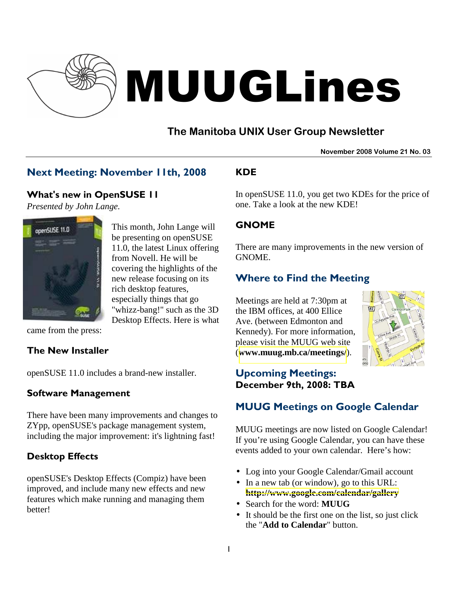

# MUUGLines

# **The Manitoba UNIX User Group Newsletter**

**November 2008 Volume 21 No. 03**

## Next Meeting: November 11th, 2008

#### What's new in OpenSUSE 11

*Presented by John Lange.* 



This month, John Lange will be presenting on openSUSE 11.0, the latest Linux offering from Novell. He will be covering the highlights of the new release focusing on its rich desktop features, especially things that go "whizz-bang!" such as the 3D Desktop Effects. Here is what

came from the press:

#### The New Installer

openSUSE 11.0 includes a brand-new installer.

#### Software Management

There have been many improvements and changes to ZYpp, openSUSE's package management system, including the major improvement: it's lightning fast!

#### Desktop Effects

openSUSE's Desktop Effects (Compiz) have been improved, and include many new effects and new features which make running and managing them better!

## KDE

In openSUSE 11.0, you get two KDEs for the price of one. Take a look at the new KDE!

#### GNOME

There are many improvements in the new version of GNOME.

## Where to Find the Meeting

Meetings are held at 7:30pm at the IBM offices, at 400 Ellice Ave. (between Edmonton and Kennedy). For more information, please visit the MUUG web site (**[www.muug.mb.ca/meetings/](http://www.muug.mb.ca/meetings/)**).



## Upcoming Meetings: December 9th, 2008: TBA

# MUUG Meetings on Google Calendar

MUUG meetings are now listed on Google Calendar! If you're using Google Calendar, you can have these events added to your own calendar. Here's how:

- Log into your Google Calendar/Gmail account
- In a new tab (or window), go to this URL: **<http://www.google.com/calendar/gallery>**
- Search for the word: **MUUG**
- It should be the first one on the list, so just click the "**Add to Calendar**" button.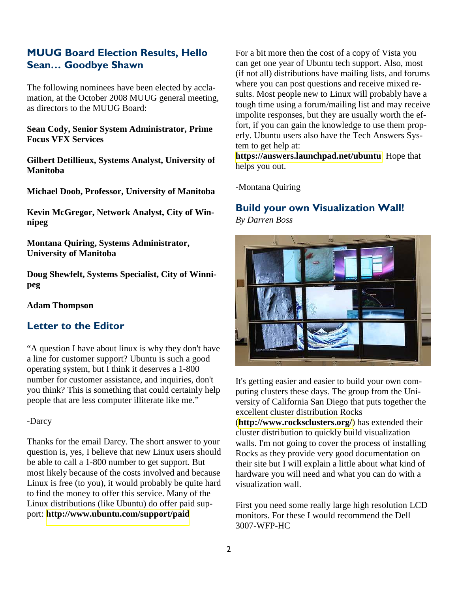#### MUUG Board Election Results, Hello Sean… Goodbye Shawn

The following nominees have been elected by acclamation, at the October 2008 MUUG general meeting, as directors to the MUUG Board:

**Sean Cody, Senior System Administrator, Prime Focus VFX Services** 

**Gilbert Detillieux, Systems Analyst, University of Manitoba** 

**Michael Doob, Professor, University of Manitoba** 

**Kevin McGregor, Network Analyst, City of Winnipeg** 

**Montana Quiring, Systems Administrator, University of Manitoba** 

**Doug Shewfelt, Systems Specialist, City of Winnipeg** 

#### **Adam Thompson**

#### Letter to the Editor

"A question I have about linux is why they don't have a line for customer support? Ubuntu is such a good operating system, but I think it deserves a 1-800 number for customer assistance, and inquiries, don't you think? This is something that could certainly help people that are less computer illiterate like me."

#### -Darcy

Thanks for the email Darcy. The short answer to your question is, yes, I believe that new Linux users should be able to call a 1-800 number to get support. But most likely because of the costs involved and because Linux is free (to you), it would probably be quite hard to find the money to offer this service. Many of the Linux distributions (like Ubuntu) do offer paid support: **<http://www.ubuntu.com/support/paid>**

For a bit more then the cost of a copy of Vista you can get one year of Ubuntu tech support. Also, most (if not all) distributions have mailing lists, and forums where you can post questions and receive mixed results. Most people new to Linux will probably have a tough time using a forum/mailing list and may receive impolite responses, but they are usually worth the effort, if you can gain the knowledge to use them properly. Ubuntu users also have the Tech Answers System to get help at:

**<https://answers.launchpad.net/ubuntu>** Hope that helps you out.

-Montana Quiring

# Build your own Visualization Wall!

*By Darren Boss*



It's getting easier and easier to build your own computing clusters these days. The group from the University of California San Diego that puts together the excellent cluster distribution Rocks (**<http://www.rocksclusters.org/>**) has extended their cluster distribution to quickly build visualization walls. I'm not going to cover the process of installing Rocks as they provide very good documentation on their site but I will explain a little about what kind of hardware you will need and what you can do with a visualization wall.

First you need some really large high resolution LCD monitors. For these I would recommend the Dell 3007-WFP-HC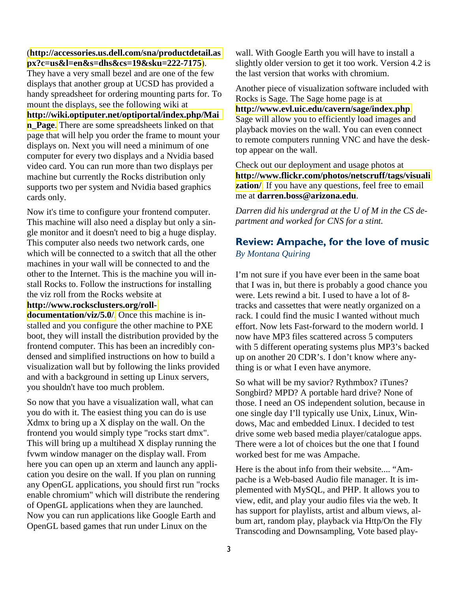(**[http://accessories.us.dell.com/sna/productdetail.as](http://accessories.us.dell.com/sna/productdetail.aspx?c=us&l=en&s=dhs&cs=19&sku=222-7175) [px?c=us&l=en&s=dhs&cs=19&sku=222-7175](http://accessories.us.dell.com/sna/productdetail.aspx?c=us&l=en&s=dhs&cs=19&sku=222-7175)**).

They have a very small bezel and are one of the few displays that another group at UCSD has provided a handy spreadsheet for ordering mounting parts for. To mount the displays, see the following wiki at **[http://wiki.optiputer.net/optiportal/index.php/Mai](http://wiki.optiputer.net/optiportal/index.php/Main_Page) [n\\_Page](http://wiki.optiputer.net/optiportal/index.php/Main_Page)**. There are some spreadsheets linked on that page that will help you order the frame to mount your displays on. Next you will need a minimum of one computer for every two displays and a Nvidia based video card. You can run more than two displays per machine but currently the Rocks distribution only supports two per system and Nvidia based graphics cards only.

Now it's time to configure your frontend computer. This machine will also need a display but only a single monitor and it doesn't need to big a huge display. This computer also needs two network cards, one which will be connected to a switch that all the other machines in your wall will be connected to and the other to the Internet. This is the machine you will install Rocks to. Follow the instructions for installing the viz roll from the Rocks website at

#### **[http://www.rocksclusters.org/roll-](http://www.rocksclusters.org/roll-documentation/viz/5.0/)**

**[documentation/viz/5.0/](http://www.rocksclusters.org/roll-documentation/viz/5.0/)**. Once this machine is installed and you configure the other machine to PXE boot, they will install the distribution provided by the frontend computer. This has been an incredibly condensed and simplified instructions on how to build a visualization wall but by following the links provided and with a background in setting up Linux servers, you shouldn't have too much problem.

So now that you have a visualization wall, what can you do with it. The easiest thing you can do is use Xdmx to bring up a X display on the wall. On the frontend you would simply type "rocks start dmx". This will bring up a multihead X display running the fvwm window manager on the display wall. From here you can open up an xterm and launch any application you desire on the wall. If you plan on running any OpenGL applications, you should first run "rocks enable chromium" which will distribute the rendering of OpenGL applications when they are launched. Now you can run applications like Google Earth and OpenGL based games that run under Linux on the

wall. With Google Earth you will have to install a slightly older version to get it too work. Version 4.2 is the last version that works with chromium.

Another piece of visualization software included with Rocks is Sage. The Sage home page is at

**<http://www.evl.uic.edu/cavern/sage/index.php>**. Sage will allow you to efficiently load images and playback movies on the wall. You can even connect to remote computers running VNC and have the desktop appear on the wall.

Check out our deployment and usage photos at **[http://www.flickr.com/photos/netscruff/tags/visuali](http://www.flickr.com/photos/netscruff/tags/visualization/) zation**/. If you have any questions, feel free to email me at **[darren.boss@arizona.edu](mailto:darren.boss@arizona.edu)**.

*Darren did his undergrad at the U of M in the CS department and worked for CNS for a stint.* 

#### Review: Ampache, for the love of music *By Montana Quiring*

I'm not sure if you have ever been in the same boat that I was in, but there is probably a good chance you were. Lets rewind a bit. I used to have a lot of 8 tracks and cassettes that were neatly organized on a rack. I could find the music I wanted without much effort. Now lets Fast-forward to the modern world. I now have MP3 files scattered across 5 computers with 5 different operating systems plus MP3's backed up on another 20 CDR's. I don't know where anything is or what I even have anymore.

So what will be my savior? Rythmbox? iTunes? Songbird? MPD? A portable hard drive? None of those. I need an OS independent solution, because in one single day I'll typically use Unix, Linux, Windows, Mac and embedded Linux. I decided to test drive some web based media player/catalogue apps. There were a lot of choices but the one that I found worked best for me was Ampache.

Here is the about info from their website.... "Ampache is a Web-based Audio file manager. It is implemented with MySQL, and PHP. It allows you to view, edit, and play your audio files via the web. It has support for playlists, artist and album views, album art, random play, playback via Http/On the Fly Transcoding and Downsampling, Vote based play-